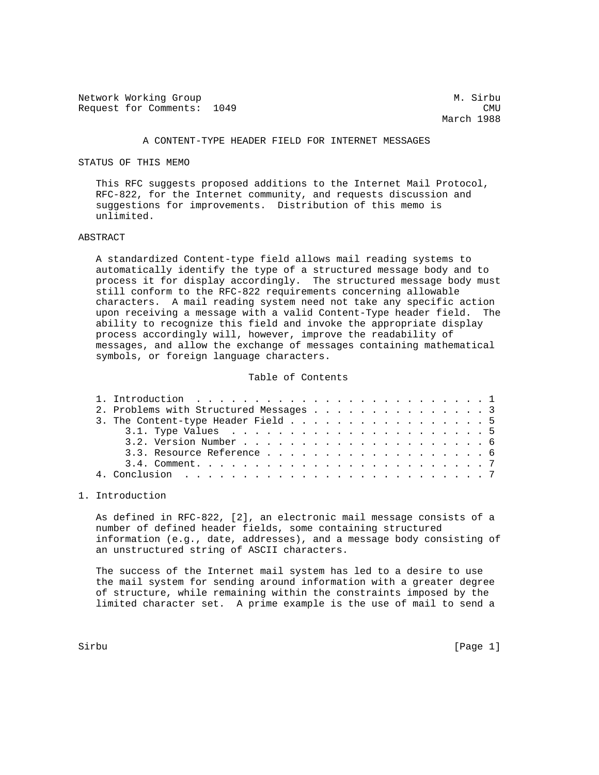Network Working Group Manuscript and Manuscript Manuscript Manuscript Manuscript Manuscript Manuscript Manuscri Request for Comments: 1049 CMU

March 1988

# A CONTENT-TYPE HEADER FIELD FOR INTERNET MESSAGES

STATUS OF THIS MEMO

 This RFC suggests proposed additions to the Internet Mail Protocol, RFC-822, for the Internet community, and requests discussion and suggestions for improvements. Distribution of this memo is unlimited.

#### ABSTRACT

 A standardized Content-type field allows mail reading systems to automatically identify the type of a structured message body and to process it for display accordingly. The structured message body must still conform to the RFC-822 requirements concerning allowable characters. A mail reading system need not take any specific action upon receiving a message with a valid Content-Type header field. The ability to recognize this field and invoke the appropriate display process accordingly will, however, improve the readability of messages, and allow the exchange of messages containing mathematical symbols, or foreign language characters.

## Table of Contents

| 2. Problems with Structured Messages 3 |  |  |  |  |  |  |  |  |
|----------------------------------------|--|--|--|--|--|--|--|--|
| 3. The Content-type Header Field 5     |  |  |  |  |  |  |  |  |
|                                        |  |  |  |  |  |  |  |  |
|                                        |  |  |  |  |  |  |  |  |
| 3.3. Resource Reference 6              |  |  |  |  |  |  |  |  |
|                                        |  |  |  |  |  |  |  |  |
|                                        |  |  |  |  |  |  |  |  |

### 1. Introduction

 As defined in RFC-822, [2], an electronic mail message consists of a number of defined header fields, some containing structured information (e.g., date, addresses), and a message body consisting of an unstructured string of ASCII characters.

 The success of the Internet mail system has led to a desire to use the mail system for sending around information with a greater degree of structure, while remaining within the constraints imposed by the limited character set. A prime example is the use of mail to send a

Sirbu [Page 1]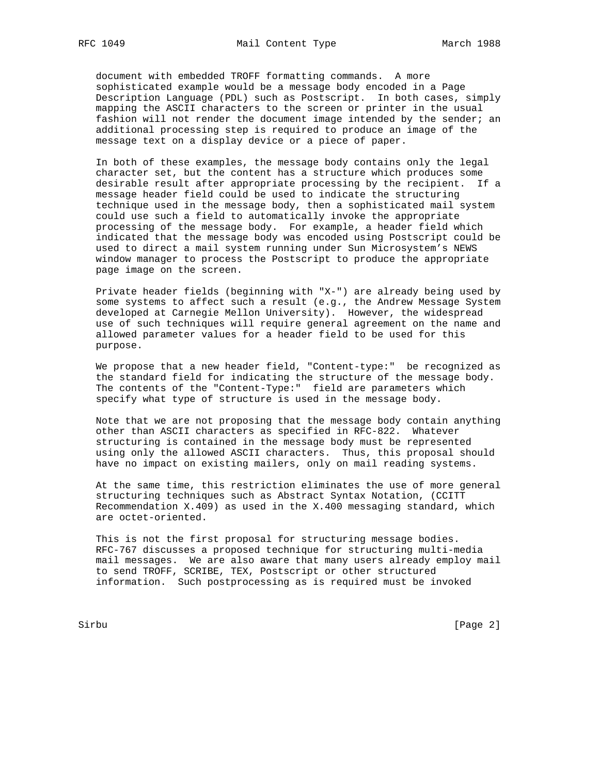document with embedded TROFF formatting commands. A more sophisticated example would be a message body encoded in a Page Description Language (PDL) such as Postscript. In both cases, simply mapping the ASCII characters to the screen or printer in the usual fashion will not render the document image intended by the sender; an additional processing step is required to produce an image of the message text on a display device or a piece of paper.

 In both of these examples, the message body contains only the legal character set, but the content has a structure which produces some desirable result after appropriate processing by the recipient. If a message header field could be used to indicate the structuring technique used in the message body, then a sophisticated mail system could use such a field to automatically invoke the appropriate processing of the message body. For example, a header field which indicated that the message body was encoded using Postscript could be used to direct a mail system running under Sun Microsystem's NEWS window manager to process the Postscript to produce the appropriate page image on the screen.

 Private header fields (beginning with "X-") are already being used by some systems to affect such a result (e.g., the Andrew Message System developed at Carnegie Mellon University). However, the widespread use of such techniques will require general agreement on the name and allowed parameter values for a header field to be used for this purpose.

 We propose that a new header field, "Content-type:" be recognized as the standard field for indicating the structure of the message body. The contents of the "Content-Type:" field are parameters which specify what type of structure is used in the message body.

 Note that we are not proposing that the message body contain anything other than ASCII characters as specified in RFC-822. Whatever structuring is contained in the message body must be represented using only the allowed ASCII characters. Thus, this proposal should have no impact on existing mailers, only on mail reading systems.

 At the same time, this restriction eliminates the use of more general structuring techniques such as Abstract Syntax Notation, (CCITT Recommendation X.409) as used in the X.400 messaging standard, which are octet-oriented.

 This is not the first proposal for structuring message bodies. RFC-767 discusses a proposed technique for structuring multi-media mail messages. We are also aware that many users already employ mail to send TROFF, SCRIBE, TEX, Postscript or other structured information. Such postprocessing as is required must be invoked

Sirbu [Page 2]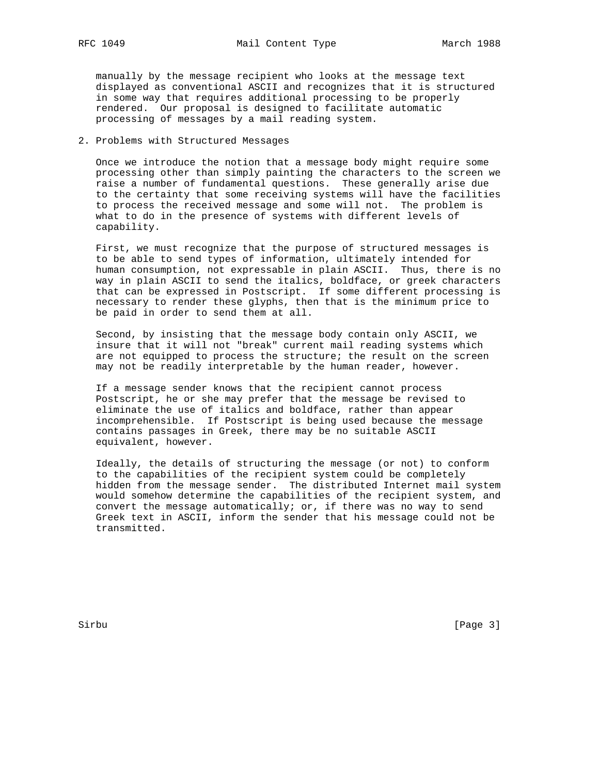manually by the message recipient who looks at the message text displayed as conventional ASCII and recognizes that it is structured in some way that requires additional processing to be properly rendered. Our proposal is designed to facilitate automatic processing of messages by a mail reading system.

### 2. Problems with Structured Messages

 Once we introduce the notion that a message body might require some processing other than simply painting the characters to the screen we raise a number of fundamental questions. These generally arise due to the certainty that some receiving systems will have the facilities to process the received message and some will not. The problem is what to do in the presence of systems with different levels of capability.

 First, we must recognize that the purpose of structured messages is to be able to send types of information, ultimately intended for human consumption, not expressable in plain ASCII. Thus, there is no way in plain ASCII to send the italics, boldface, or greek characters that can be expressed in Postscript. If some different processing is necessary to render these glyphs, then that is the minimum price to be paid in order to send them at all.

 Second, by insisting that the message body contain only ASCII, we insure that it will not "break" current mail reading systems which are not equipped to process the structure; the result on the screen may not be readily interpretable by the human reader, however.

 If a message sender knows that the recipient cannot process Postscript, he or she may prefer that the message be revised to eliminate the use of italics and boldface, rather than appear incomprehensible. If Postscript is being used because the message contains passages in Greek, there may be no suitable ASCII equivalent, however.

 Ideally, the details of structuring the message (or not) to conform to the capabilities of the recipient system could be completely hidden from the message sender. The distributed Internet mail system would somehow determine the capabilities of the recipient system, and convert the message automatically; or, if there was no way to send Greek text in ASCII, inform the sender that his message could not be transmitted.

Sirbu [Page 3]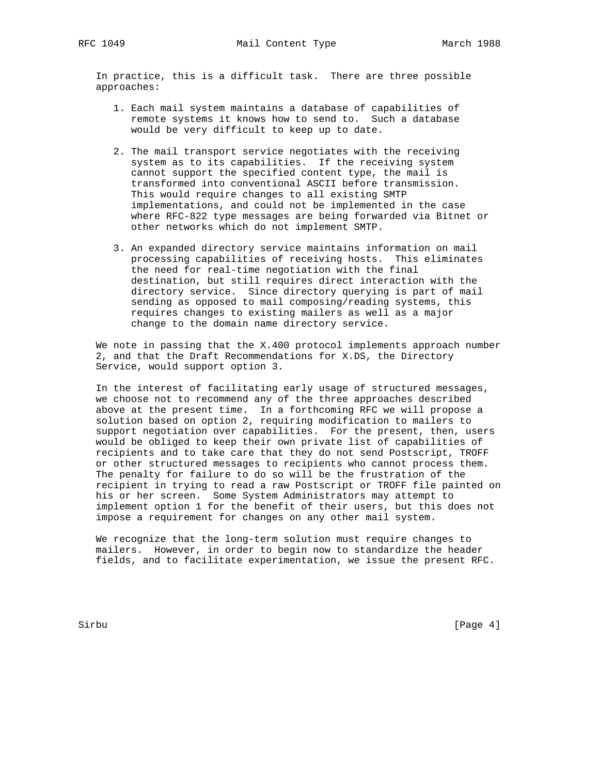In practice, this is a difficult task. There are three possible approaches:

- 1. Each mail system maintains a database of capabilities of remote systems it knows how to send to. Such a database would be very difficult to keep up to date.
- 2. The mail transport service negotiates with the receiving system as to its capabilities. If the receiving system cannot support the specified content type, the mail is transformed into conventional ASCII before transmission. This would require changes to all existing SMTP implementations, and could not be implemented in the case where RFC-822 type messages are being forwarded via Bitnet or other networks which do not implement SMTP.
- 3. An expanded directory service maintains information on mail processing capabilities of receiving hosts. This eliminates the need for real-time negotiation with the final destination, but still requires direct interaction with the directory service. Since directory querying is part of mail sending as opposed to mail composing/reading systems, this requires changes to existing mailers as well as a major change to the domain name directory service.

We note in passing that the X.400 protocol implements approach number 2, and that the Draft Recommendations for X.DS, the Directory Service, would support option 3.

 In the interest of facilitating early usage of structured messages, we choose not to recommend any of the three approaches described above at the present time. In a forthcoming RFC we will propose a solution based on option 2, requiring modification to mailers to support negotiation over capabilities. For the present, then, users would be obliged to keep their own private list of capabilities of recipients and to take care that they do not send Postscript, TROFF or other structured messages to recipients who cannot process them. The penalty for failure to do so will be the frustration of the recipient in trying to read a raw Postscript or TROFF file painted on his or her screen. Some System Administrators may attempt to implement option 1 for the benefit of their users, but this does not impose a requirement for changes on any other mail system.

 We recognize that the long-term solution must require changes to mailers. However, in order to begin now to standardize the header fields, and to facilitate experimentation, we issue the present RFC.

Sirbu [Page 4]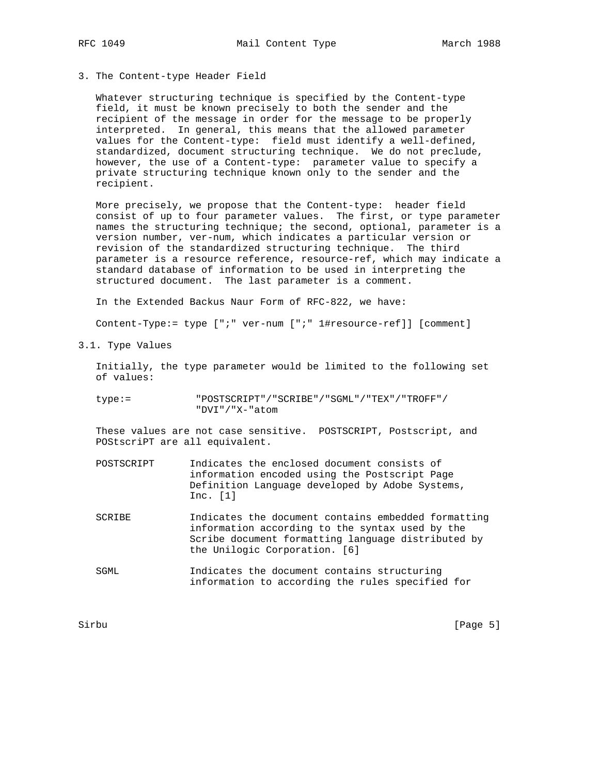- 
- 3. The Content-type Header Field

 Whatever structuring technique is specified by the Content-type field, it must be known precisely to both the sender and the recipient of the message in order for the message to be properly interpreted. In general, this means that the allowed parameter values for the Content-type: field must identify a well-defined, standardized, document structuring technique. We do not preclude, however, the use of a Content-type: parameter value to specify a private structuring technique known only to the sender and the recipient.

 More precisely, we propose that the Content-type: header field consist of up to four parameter values. The first, or type parameter names the structuring technique; the second, optional, parameter is a version number, ver-num, which indicates a particular version or revision of the standardized structuring technique. The third parameter is a resource reference, resource-ref, which may indicate a standard database of information to be used in interpreting the structured document. The last parameter is a comment.

In the Extended Backus Naur Form of RFC-822, we have:

Content-Type:= type [";" ver-num [";" 1#resource-ref]] [comment]

3.1. Type Values

 Initially, the type parameter would be limited to the following set of values:

 type:= "POSTSCRIPT"/"SCRIBE"/"SGML"/"TEX"/"TROFF"/ "DVI"/"X-"atom

 These values are not case sensitive. POSTSCRIPT, Postscript, and POStscriPT are all equivalent.

- POSTSCRIPT Indicates the enclosed document consists of information encoded using the Postscript Page Definition Language developed by Adobe Systems, Inc. [1]
- SCRIBE Indicates the document contains embedded formatting information according to the syntax used by the Scribe document formatting language distributed by the Unilogic Corporation. [6]
- SGML Indicates the document contains structuring information to according the rules specified for

Sirbu [Page 5]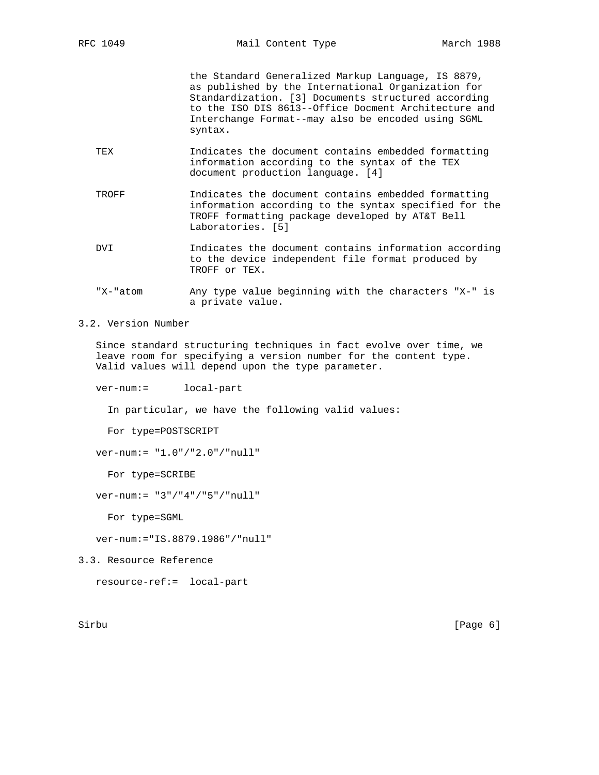the Standard Generalized Markup Language, IS 8879, as published by the International Organization for Standardization. [3] Documents structured according to the ISO DIS 8613--Office Docment Architecture and Interchange Format--may also be encoded using SGML syntax.

- TEX Indicates the document contains embedded formatting information according to the syntax of the TEX document production language. [4]
- TROFF Indicates the document contains embedded formatting information according to the syntax specified for the TROFF formatting package developed by AT&T Bell Laboratories. [5]
- DVI Indicates the document contains information according to the device independent file format produced by TROFF or TEX.
- "X-"atom Any type value beginning with the characters "X-" is a private value.

### 3.2. Version Number

 Since standard structuring techniques in fact evolve over time, we leave room for specifying a version number for the content type. Valid values will depend upon the type parameter.

ver-num:= local-part

In particular, we have the following valid values:

For type=POSTSCRIPT

ver-num:= "1.0"/"2.0"/"null"

For type=SCRIBE

ver-num:= "3"/"4"/"5"/"null"

For type=SGML

ver-num:="IS.8879.1986"/"null"

3.3. Resource Reference

resource-ref:= local-part

Sirbu [Page 6] [Page 6] [Page 6] [Page 6] [Page 6] [Page 6] [Page 6] [Page 6] [Page 6] [Page 6] [Page 6] [Page 6] [Page 6] [Page 6] [Page 6] [Page 6] [Page 6] [Page 6] [Page 6] [Page 6] [Page 6] [Page 6] [Page 6] [Page 6]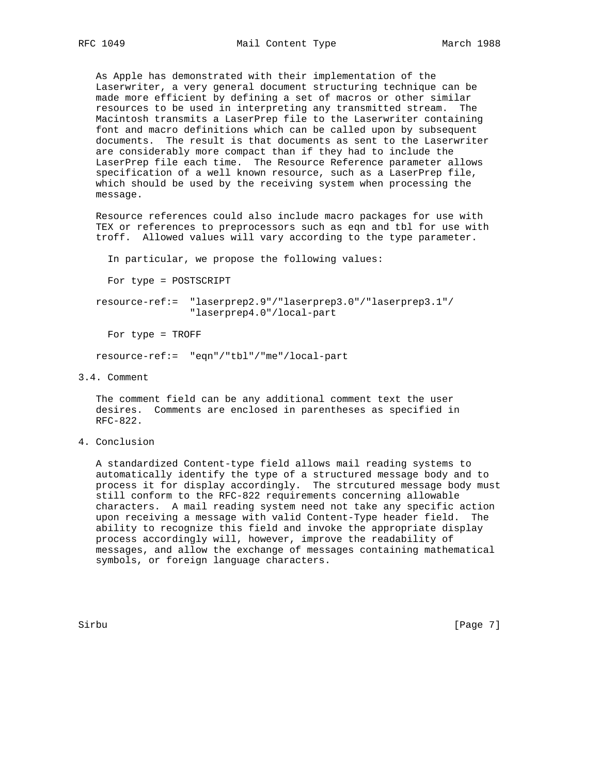As Apple has demonstrated with their implementation of the Laserwriter, a very general document structuring technique can be made more efficient by defining a set of macros or other similar resources to be used in interpreting any transmitted stream. The Macintosh transmits a LaserPrep file to the Laserwriter containing font and macro definitions which can be called upon by subsequent documents. The result is that documents as sent to the Laserwriter are considerably more compact than if they had to include the LaserPrep file each time. The Resource Reference parameter allows specification of a well known resource, such as a LaserPrep file, which should be used by the receiving system when processing the message.

 Resource references could also include macro packages for use with TEX or references to preprocessors such as eqn and tbl for use with troff. Allowed values will vary according to the type parameter.

In particular, we propose the following values:

For type = POSTSCRIPT

 resource-ref:= "laserprep2.9"/"laserprep3.0"/"laserprep3.1"/ "laserprep4.0"/local-part

For type = TROFF

resource-ref:= "eqn"/"tbl"/"me"/local-part

3.4. Comment

 The comment field can be any additional comment text the user desires. Comments are enclosed in parentheses as specified in RFC-822.

4. Conclusion

 A standardized Content-type field allows mail reading systems to automatically identify the type of a structured message body and to process it for display accordingly. The strcutured message body must still conform to the RFC-822 requirements concerning allowable characters. A mail reading system need not take any specific action upon receiving a message with valid Content-Type header field. The ability to recognize this field and invoke the appropriate display process accordingly will, however, improve the readability of messages, and allow the exchange of messages containing mathematical symbols, or foreign language characters.

Sirbu [Page 7] [Page 7] [Page 7] [Page 7] [Page 7] [Page 7] [Page 7] [Page 7] [Page 7] [Page 7] [Page 7] [Page 7] [Page 7] [Page 7] [Page 7] [Page 7] [Page 7] [Page 7] [Page 7] [Page 7] [Page 7] [Page 7] [Page 7] [Page 7]